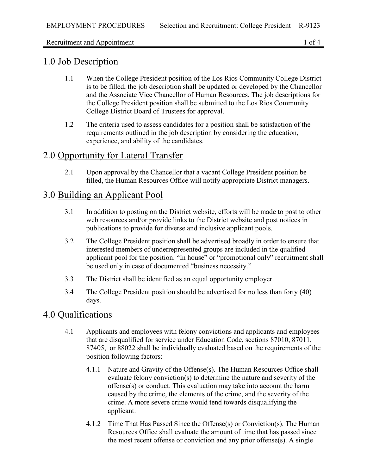#### Recruitment and Appointment 1 of 4

### 1.0 Job Description

- 1.1 When the College President position of the Los Rios Community College District is to be filled, the job description shall be updated or developed by the Chancellor and the Associate Vice Chancellor of Human Resources. The job descriptions for the College President position shall be submitted to the Los Rios Community College District Board of Trustees for approval.
- 1.2 The criteria used to assess candidates for a position shall be satisfaction of the requirements outlined in the job description by considering the education, experience, and ability of the candidates.

## 2.0 Opportunity for Lateral Transfer

2.1 Upon approval by the Chancellor that a vacant College President position be filled, the Human Resources Office will notify appropriate District managers.

#### 3.0 Building an Applicant Pool

- 3.1 In addition to posting on the District website, efforts will be made to post to other web resources and/or provide links to the District website and post notices in publications to provide for diverse and inclusive applicant pools.
- 3.2 The College President position shall be advertised broadly in order to ensure that interested members of underrepresented groups are included in the qualified applicant pool for the position. "In house" or "promotional only" recruitment shall be used only in case of documented "business necessity."
- 3.3 The District shall be identified as an equal opportunity employer.
- 3.4 The College President position should be advertised for no less than forty (40) days.

### 4.0 Qualifications

- 4.1 Applicants and employees with felony convictions and applicants and employees that are disqualified for service under Education Code, sections 87010, 87011, 87405, or 88022 shall be individually evaluated based on the requirements of the position following factors:
	- 4.1.1 Nature and Gravity of the Offense(s). The Human Resources Office shall evaluate felony conviction(s) to determine the nature and severity of the offense(s) or conduct. This evaluation may take into account the harm caused by the crime, the elements of the crime, and the severity of the crime. A more severe crime would tend towards disqualifying the applicant.
	- 4.1.2 Time That Has Passed Since the Offense(s) or Conviction(s). The Human Resources Office shall evaluate the amount of time that has passed since the most recent offense or conviction and any prior offense(s). A single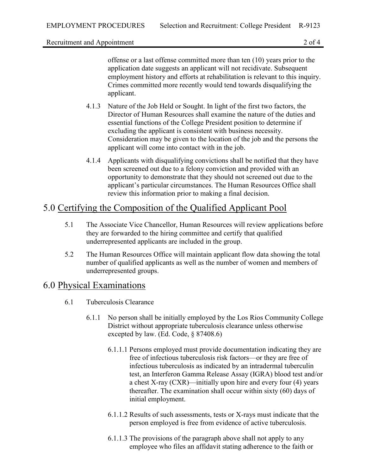Recruitment and Appointment 2 of 4

offense or a last offense committed more than ten (10) years prior to the application date suggests an applicant will not recidivate. Subsequent employment history and efforts at rehabilitation is relevant to this inquiry. Crimes committed more recently would tend towards disqualifying the applicant.

- 4.1.3 Nature of the Job Held or Sought. In light of the first two factors, the Director of Human Resources shall examine the nature of the duties and essential functions of the College President position to determine if excluding the applicant is consistent with business necessity. Consideration may be given to the location of the job and the persons the applicant will come into contact with in the job.
- 4.1.4 Applicants with disqualifying convictions shall be notified that they have been screened out due to a felony conviction and provided with an opportunity to demonstrate that they should not screened out due to the applicant's particular circumstances. The Human Resources Office shall review this information prior to making a final decision.

# 5.0 Certifying the Composition of the Qualified Applicant Pool

- 5.1 The Associate Vice Chancellor, Human Resources will review applications before they are forwarded to the hiring committee and certify that qualified underrepresented applicants are included in the group.
- 5.2 The Human Resources Office will maintain applicant flow data showing the total number of qualified applicants as well as the number of women and members of underrepresented groups.

#### 6.0 Physical Examinations

- 6.1 Tuberculosis Clearance
	- 6.1.1 No person shall be initially employed by the Los Rios Community College District without appropriate tuberculosis clearance unless otherwise excepted by law. (Ed. Code, § 87408.6)
		- 6.1.1.1 Persons employed must provide documentation indicating they are free of infectious tuberculosis risk factors—or they are free of infectious tuberculosis as indicated by an intradermal tuberculin test, an Interferon Gamma Release Assay (IGRA) blood test and/or a chest X-ray (CXR)—initially upon hire and every four (4) years thereafter. The examination shall occur within sixty (60) days of initial employment.
		- 6.1.1.2 Results of such assessments, tests or X-rays must indicate that the person employed is free from evidence of active tuberculosis.
		- 6.1.1.3 The provisions of the paragraph above shall not apply to any employee who files an affidavit stating adherence to the faith or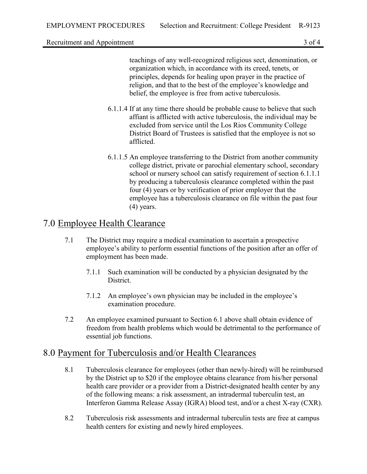Recruitment and Appointment 3 of 4

teachings of any well-recognized religious sect, denomination, or organization which, in accordance with its creed, tenets, or principles, depends for healing upon prayer in the practice of religion, and that to the best of the employee's knowledge and belief, the employee is free from active tuberculosis.

- 6.1.1.4 If at any time there should be probable cause to believe that such affiant is afflicted with active tuberculosis, the individual may be excluded from service until the Los Rios Community College District Board of Trustees is satisfied that the employee is not so afflicted.
- 6.1.1.5 An employee transferring to the District from another community college district, private or parochial elementary school, secondary school or nursery school can satisfy requirement of section 6.1.1.1 by producing a tuberculosis clearance completed within the past four (4) years or by verification of prior employer that the employee has a tuberculosis clearance on file within the past four (4) years.

## 7.0 Employee Health Clearance

- 7.1 The District may require a medical examination to ascertain a prospective employee's ability to perform essential functions of the position after an offer of employment has been made.
	- 7.1.1 Such examination will be conducted by a physician designated by the District.
	- 7.1.2 An employee's own physician may be included in the employee's examination procedure.
- 7.2 An employee examined pursuant to Section 6.1 above shall obtain evidence of freedom from health problems which would be detrimental to the performance of essential job functions.

### 8.0 Payment for Tuberculosis and/or Health Clearances

- 8.1 Tuberculosis clearance for employees (other than newly-hired) will be reimbursed by the District up to \$20 if the employee obtains clearance from his/her personal health care provider or a provider from a District-designated health center by any of the following means: a risk assessment, an intradermal tuberculin test, an Interferon Gamma Release Assay (IGRA) blood test, and/or a chest X-ray (CXR).
- 8.2 Tuberculosis risk assessments and intradermal tuberculin tests are free at campus health centers for existing and newly hired employees.